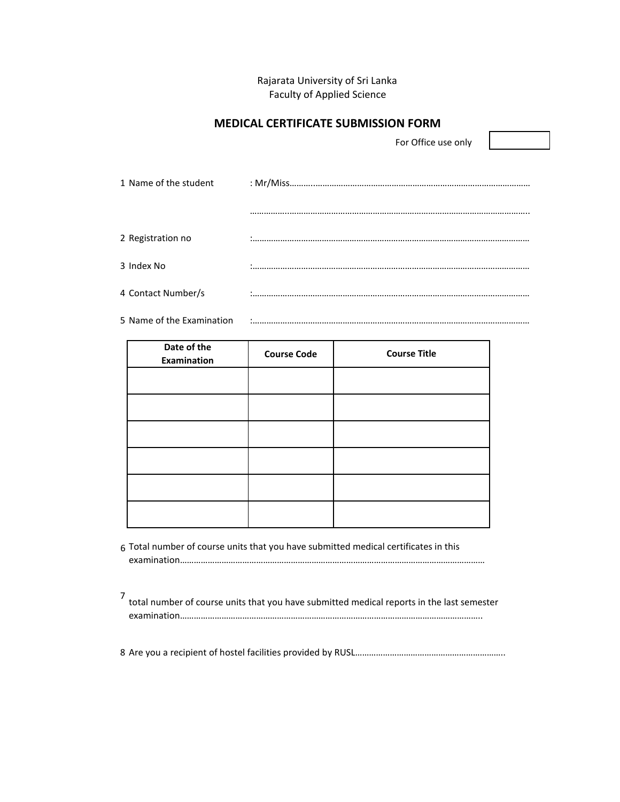## Rajarata University of Sri Lanka Faculty of Applied Science

## **MEDICAL CERTIFICATE SUBMISSION FORM**

For Office use only

5 Name of the Examination :…………………………………………………………………………………………………………

| Date of the<br><b>Examination</b> | <b>Course Code</b> | <b>Course Title</b> |
|-----------------------------------|--------------------|---------------------|
|                                   |                    |                     |
|                                   |                    |                     |
|                                   |                    |                     |
|                                   |                    |                     |
|                                   |                    |                     |
|                                   |                    |                     |

- 6 Total number of course units that you have submitted medical certificates in this examination……………………………………………………………………………………………………………………
- 7 total number of course units that you have submitted medical reports in the last semester examination…………………………………………………………………………………………………………………..

8 Are you a recipient of hostel facilities provided by RUSL………………………………………………………..